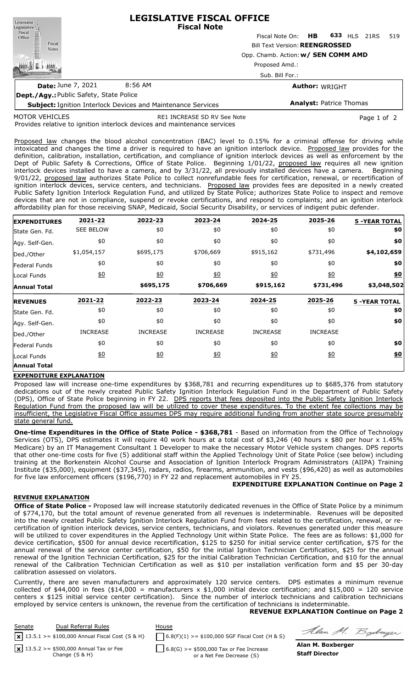| Louisiana                                                           | <b>LEGISLATIVE FISCAL OFFICE</b><br><b>Fiscal Note</b> |                                     |  |                                |     |  |
|---------------------------------------------------------------------|--------------------------------------------------------|-------------------------------------|--|--------------------------------|-----|--|
|                                                                     |                                                        | Fiscal Note On: <b>HB</b>           |  | <b>633 HLS 21RS</b>            | 519 |  |
| Legislative<br>Fiscal<br>Office<br>Fiscal<br><b>Notes</b>           | <b>Bill Text Version: REENGROSSED</b>                  |                                     |  |                                |     |  |
|                                                                     |                                                        | Opp. Chamb. Action: w/ SEN COMM AMD |  |                                |     |  |
|                                                                     |                                                        | Proposed Amd.:                      |  |                                |     |  |
|                                                                     | Sub. Bill For.:                                        |                                     |  |                                |     |  |
| <b>Date: June 7, 2021</b>                                           | 8:56 AM                                                |                                     |  | <b>Author: WRIGHT</b>          |     |  |
| Dept./Agy: Public Safety, State Police                              |                                                        |                                     |  |                                |     |  |
| <b>Subject: Ignition Interlock Devices and Maintenance Services</b> |                                                        |                                     |  | <b>Analyst: Patrice Thomas</b> |     |  |

MOTOR VEHICLES

RE1 INCREASE SD RV See Note **Page 1 of 2** Page 1 of 2

Provides relative to ignition interlock devices and maintenance services

Proposed law changes the blood alcohol concentration (BAC) level to 0.15% for a criminal offense for driving while intoxicated and changes the time a driver is required to have an ignition interlock device. Proposed law provides for the definition, calibration, installation, certification, and compliance of ignition interlock devices as well as enforcement by the Dept of Public Safety & Corrections, Office of State Police. Beginning 1/01/22, proposed law requires all new ignition interlock devices installed to have a camera, and by 3/31/22, all previously installed devices have a camera. Beginning 9/01/22, proposed law authorizes State Police to collect nonrefundable fees for certification, renewal, or recertification of ignition interlock devices, service centers, and technicians. Proposed law provides fees are deposited in a newly created Public Safety Ignition Interlock Regulation Fund, and utilized by State Police; authorizes State Police to inspect and remove devices that are not in compliance, suspend or revoke certifications, and respond to complaints; and an ignition interlock affordability plan for those receiving SNAP, Medicaid, Social Security Disability, or services of indigent pubic defender.

| <b>EXPENDITURES</b> | 2021-22          | 2022-23         | 2023-24          | 2024-25          | 2025-26           | <b>5 -YEAR TOTAL</b> |
|---------------------|------------------|-----------------|------------------|------------------|-------------------|----------------------|
| State Gen. Fd.      | <b>SEE BELOW</b> | \$0             | \$0              | \$0              | \$0               | \$0                  |
| Agy. Self-Gen.      | \$0              | \$0             | \$0              | \$0              | \$0               | \$0                  |
| Ded./Other          | \$1,054,157      | \$695,175       | \$706,669        | \$915,162        | \$731,496         | \$4,102,659          |
| Federal Funds       | \$0              | \$0             | \$0              | \$0              | \$0               | \$0                  |
| Local Funds         | $\underline{40}$ | 60              | $\underline{50}$ | $\underline{40}$ | $\underline{\$0}$ | \$0                  |
| <b>Annual Total</b> |                  | \$695,175       | \$706,669        | \$915,162        | \$731,496         | \$3,048,502          |
| <b>REVENUES</b>     | 2021-22          | 2022-23         | 2023-24          | 2024-25          | 2025-26           | <b>5 -YEAR TOTAL</b> |
| State Gen. Fd.      |                  |                 |                  |                  |                   |                      |
|                     | \$0              | \$0             | \$0              | \$0              | \$0               | \$0                  |
| Agy. Self-Gen.      | \$0              | \$0             | \$0              | \$0              | \$0               | \$0                  |
| Ded./Other          | <b>INCREASE</b>  | <b>INCREASE</b> | <b>INCREASE</b>  | <b>INCREASE</b>  | <b>INCREASE</b>   |                      |
| Federal Funds       | \$0              | \$0             | \$0              | \$0              | \$0               | \$0                  |
| Local Funds         | $\underline{40}$ | 60              | \$0              | $\underline{50}$ | $\underline{40}$  | \$0                  |

### **EXPENDITURE EXPLANATION**

Proposed law will increase one-time expenditures by \$368,781 and recurring expenditures up to \$685,376 from statutory dedications out of the newly created Public Safety Ignition Interlock Regulation Fund in the Department of Public Safety (DPS), Office of State Police beginning in FY 22. DPS reports that fees deposited into the Public Safety Ignition Interlock Regulation Fund from the proposed law will be utilized to cover these expenditures. To the extent fee collections may be insufficient, the Legislative Fiscal Office assumes DPS may require additional funding from another state source presumably state general fund.

**One-time Expenditures in the Office of State Police - \$368,781** - Based on information from the Office of Technology Services (OTS), DPS estimates it will require 40 work hours at a total cost of \$3,246 (40 hours x \$80 per hour x 1.45% Medicare) by an IT Management Consultant 1 Developer to make the necessary Motor Vehicle system changes. DPS reports that other one-time costs for five (5) additional staff within the Applied Technology Unit of State Police (see below) including training at the Borkenstein Alcohol Course and Association of Ignition Interlock Program Administrators (AIIPA) Training Institute (\$35,000), equipment (\$37,345), radars, radios, firearms, ammunition, and vests (\$96,420) as well as automobiles for five law enforcement officers (\$196,770) in FY 22 and replacement automobiles in FY 25.

### **EXPENDITURE EXPLANATION Continue on Page 2**

### **REVENUE EXPLANATION**

**Office of State Police -** Proposed law will increase statutorily dedicated revenues in the Office of State Police by a minimum of \$774,170, but the total amount of revenue generated from all revenues is indeterminable. Revenues will be deposited into the newly created Public Safety Ignition Interlock Regulation Fund from fees related to the certification, renewal, or recertification of ignition interlock devices, service centers, technicians, and violators. Revenues generated under this measure will be utilized to cover expenditures in the Applied Technology Unit within State Police. The fees are as follows: \$1,000 for device certification, \$500 for annual device recertification, \$125 to \$250 for initial service center certification, \$75 for the annual renewal of the service center certification, \$50 for the initial Ignition Technician Certification, \$25 for the annual renewal of the Ignition Technician Certification, \$25 for the initial Calibration Technician Certification, and \$10 for the annual renewal of the Calibration Technician Certification as well as \$10 per installation verification form and \$5 per 30-day calibration assessed on violators.

Currently, there are seven manufacturers and approximately 120 service centers. DPS estimates a minimum revenue collected of \$44,000 in fees (\$14,000 = manufacturers x \$1,000 initial device certification; and \$15,000 = 120 service centers x \$125 initial service center certification). Since the number of interlock technicians and calibration technicians employed by service centers is unknown, the revenue from the certification of technicians is indeterminable.

### **REVENUE EXPLANATION Continue on Page 2**